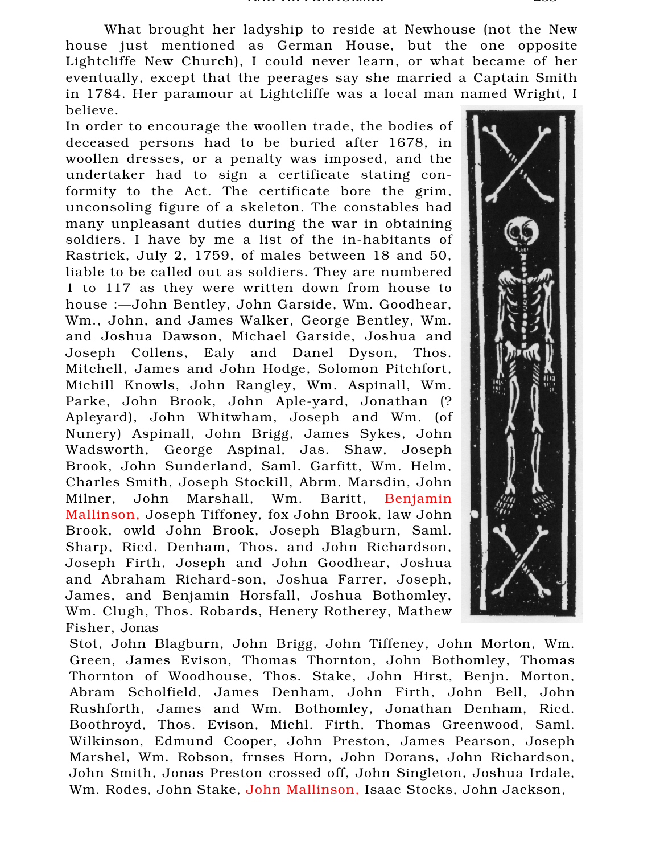What brought her ladyship to reside at Newhouse (not the New house just mentioned as German House, but the one opposite Lightcliffe New Church), I could never learn, or what became of her eventually, except that the peerages say she married a Captain Smith in 1784. Her paramour at Lightcliffe was a local man named Wright, I believe.

In order to encourage the woollen trade, the bodies of deceased persons had to be buried after 1678, in woollen dresses, or a penalty was imposed, and the undertaker had to sign a certificate stating conformity to the Act. The certificate bore the grim, unconsoling figure of a skeleton. The constables had many unpleasant duties during the war in obtaining soldiers. I have by me a list of the in-habitants of Rastrick, July 2, 1759, of males between 18 and 50, liable to be called out as soldiers. They are numbered 1 to 117 as they were written down from house to house :—John Bentley, John Garside, Wm. Goodhear, Wm., John, and James Walker, George Bentley, Wm. and Joshua Dawson, Michael Garside, Joshua and Joseph Collens, Ealy and Danel Dyson, Thos. Mitchell, James and John Hodge, Solomon Pitchfort, Michill Knowls, John Rangley, Wm. Aspinall, Wm. Parke, John Brook, John Aple-yard, Jonathan (? Apleyard), John Whitwham, Joseph and Wm. (of Nunery) Aspinall, John Brigg, James Sykes, John Wadsworth, George Aspinal, Jas. Shaw, Joseph Brook, John Sunderland, Saml. Garfitt, Wm. Helm, Charles Smith, Joseph Stockill, Abrm. Marsdin, John Milner, John Marshall, Wm. Baritt, Benjamin Mallinson, Joseph Tiffoney, fox John Brook, law John Brook, owld John Brook, Joseph Blagburn, Saml. Sharp, Ricd. Denham, Thos. and John Richardson, Joseph Firth, Joseph and John Goodhear, Joshua and Abraham Richard-son, Joshua Farrer, Joseph, James, and Benjamin Horsfall, Joshua Bothomley, Wm. Clugh, Thos. Robards, Henery Rotherey, Mathew Fisher, Jonas



Stot, John Blagburn, John Brigg, John Tiffeney, John Morton, Wm. Green, James Evison, Thomas Thornton, John Bothomley, Thomas Thornton of Woodhouse, Thos. Stake, John Hirst, Benjn. Morton, Abram Scholfield, James Denham, John Firth, John Bell, John Rushforth, James and Wm. Bothomley, Jonathan Denham, Ricd. Boothroyd, Thos. Evison, Michl. Firth, Thomas Greenwood, Saml. Wilkinson, Edmund Cooper, John Preston, James Pearson, Joseph Marshel, Wm. Robson, frnses Horn, John Dorans, John Richardson, John Smith, Jonas Preston crossed off, John Singleton, Joshua Irdale, Wm. Rodes, John Stake, John Mallinson, Isaac Stocks, John Jackson,